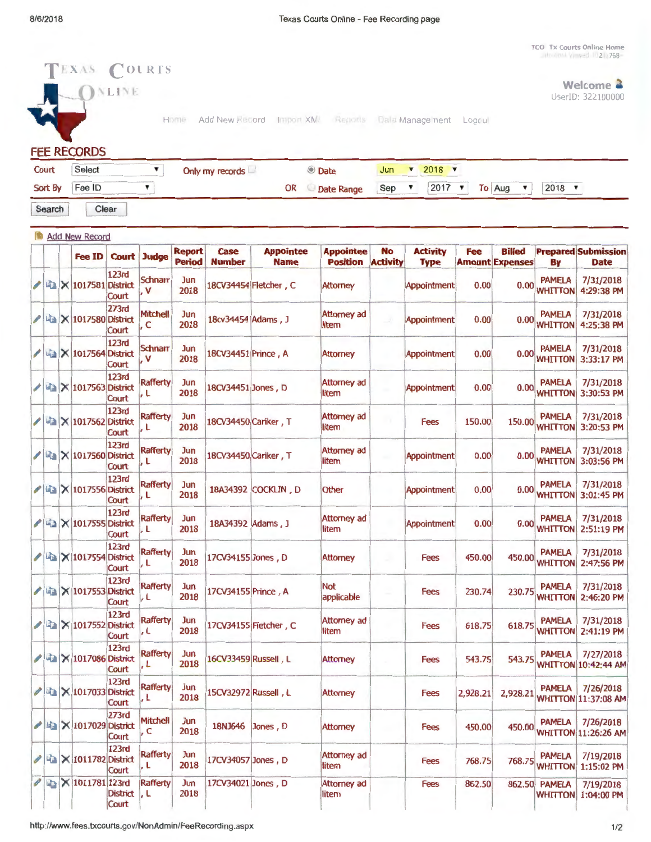TCO Tx Courts Online Home

| Court | Select                       |      | Only my records                                          | <b>O</b> Date |  | $2018$ $\times$ |                                |
|-------|------------------------------|------|----------------------------------------------------------|---------------|--|-----------------|--------------------------------|
|       | ONLINE<br><b>FEE RECORDS</b> | Home | Add New Record Import XMI Reports Dala Management Logoul |               |  |                 | Welcome 2<br>UserID: 322100000 |
|       | TEXAS COURTS                 |      |                                                          |               |  |                 |                                |

| Court            | Select | Only my records |    | © Date                                    |  | Jun $\sqrt{2018}$ |  |
|------------------|--------|-----------------|----|-------------------------------------------|--|-------------------|--|
| Sort By   Fee ID |        |                 | OR | © Date Range Sep ▼ 2017 ▼ To Aug ▼ 2018 ▼ |  |                   |  |

Search Clear

|                          |  |                                              |                       |                         | <b>Report</b> | <b>Case</b>          | <b>Appointee</b>      | <b>Appointee</b>            | <b>No</b>       | <b>Activity</b>    | Fee      | <b>Billed</b>          |                                 | <b>Prepared Submission</b>                |
|--------------------------|--|----------------------------------------------|-----------------------|-------------------------|---------------|----------------------|-----------------------|-----------------------------|-----------------|--------------------|----------|------------------------|---------------------------------|-------------------------------------------|
|                          |  | Fee ID                                       | <b>Court</b>          | <b>Judge</b>            | <b>Period</b> | <b>Number</b>        | <b>Name</b>           | <b>Position</b>             | <b>Activity</b> | <b>Type</b>        |          | <b>Amount Expenses</b> | Bγ                              | <b>Date</b>                               |
|                          |  | <b>■ × 1017581 District</b>                  | <b>123rd</b><br>Court | <b>Schnarr</b><br>V     | Jun<br>2018   |                      | 18CV34454 Fletcher, C | <b>Attorney</b>             |                 | Appointment        | 0.00     | 0.00                   | <b>PAMELA</b><br>WHITTON        | 7/31/2018<br>4:29:38 PM                   |
|                          |  | <b>■ × 1017580 District</b>                  | 273rd<br>Court        | <b>Mitchell</b><br>, c  | Jun<br>2018   | 18cv34454 Adams, J   |                       | <b>Attorney ad</b><br>litem |                 | Appointment        | 0.00     | 0.00                   | <b>PAMELA</b><br><b>WHITTON</b> | 7/31/2018<br>4:25:38 PM                   |
|                          |  | <b>■ × 1017564 District</b>                  | 123rd<br>Court        | <b>Schnarr</b><br>, v   | Jun<br>2018   | 18CV34451 Prince, A  |                       | <b>Attorney</b>             |                 | <b>Appointment</b> | 0.00     | 0.00                   | <b>PAMELA</b><br><b>WHITTON</b> | 7/31/2018<br>3:33:17 PM                   |
|                          |  | <b>Ea</b>   × 1017563 District               | <b>123rd</b><br>Court | <b>Rafferty</b><br>, L  | Jun<br>2018   | 18CV34451 Jones, D   |                       | <b>Attorney ad</b><br>litem |                 | Appointment        | 0.00     | 0.00                   | <b>PAMELA</b><br><b>WHITTON</b> | 7/31/2018<br>3:30:53 PM                   |
|                          |  | <b>A</b> × 1017562 District                  | <b>123rd</b><br>Court | <b>Rafferty</b><br>۱, L | Jun<br>2018   | 18CV34450 Cariker, T |                       | <b>Attorney ad</b><br>litem |                 | <b>Fees</b>        | 150.00   | 150.00                 | <b>PAMELA</b><br><b>WHITTON</b> | 7/31/2018<br>3:20:53 PM                   |
|                          |  | 闻 × 1017560 District                         | <b>123rd</b><br>Court | <b>Rafferty</b><br>۱, L | Jun<br>2018   | 18CV34450 Cariker, T |                       | <b>Attorney ad</b><br>litem |                 | <b>Appointment</b> | 0.00     | 0.00                   | <b>PAMELA</b><br><b>WHITTON</b> | 7/31/2018<br>3:03:56 PM                   |
|                          |  | <b>■■ × 1017556 District</b>                 | 123rd<br>Court        | <b>Rafferty</b><br> , L | Jun<br>2018   |                      | 18A34392 COCKLIN, D   | Other                       |                 | Appointment        | 0.00     | 0.00                   | <b>PAMELA</b><br><b>WHITTON</b> | 7/31/2018<br>3:01:45 PM                   |
|                          |  | <b>&amp; X 1017555 District</b>              | <b>123rd</b><br>Court | <b>Rafferty</b><br> , L | Jun<br>2018   | 18A34392 Adams, J    |                       | <b>Attorney ad</b><br>litem |                 | Appointment        | 0.00     | 0.00                   | <b>PAMELA</b><br><b>WHITTON</b> | 7/31/2018<br>2:51:19 PM                   |
|                          |  | <b>■ × 1017554 District</b>                  | 123rd<br>Court        | <b>Rafferty</b><br>.L   | Jun<br>2018   | 17CV34155 Jones, D   |                       | <b>Attorney</b>             |                 | <b>Fees</b>        | 450.00   | 450.00                 | <b>PAMELA</b><br><b>WHITTON</b> | 7/31/2018<br>2:47:56 PM                   |
|                          |  | <b>A × 1017553 District</b>                  | <b>123rd</b><br>Court | <b>Rafferty</b><br>, L  | Jun<br>2018   | 17CV34155 Prince, A  |                       | <b>Not</b><br>applicable    |                 | <b>Fees</b>        | 230.74   | 230.75                 | <b>PAMELA</b><br><b>WHITTON</b> | 7/31/2018<br>2:46:20 PM                   |
| $\overline{\phantom{a}}$ |  | X 1017552 District                           | 123rd<br>Court        | <b>Rafferty</b><br> , L | Jun<br>2018   |                      | 17CV34155 Fletcher, C | Attorney ad<br>litem        |                 | <b>Fees</b>        | 618.75   | 618.75                 | <b>PAMELA</b><br><b>WHITTON</b> | 7/31/2018<br>2:41:19 PM                   |
| ◢                        |  | <b>4 × 1017086 District</b>                  | 123rd<br>Court        | <b>Rafferty</b><br>. L  | Jun<br>2018   | 16CV33459 Russell, L |                       | <b>Attorney</b>             |                 | <b>Fees</b>        | 543.75   | 543.75                 | <b>PAMELA</b>                   | 7/27/2018<br><b>WHITTON 10:42:44 AM</b>   |
| P                        |  | La   × 1017033 District                      | <b>123rd</b><br>Court | <b>Rafferty</b><br>l, L | Jun<br>2018   | 15CV32972 Russell, L |                       | <b>Attorney</b>             |                 | <b>Fees</b>        | 2,928.21 |                        | <b>PAMELA</b>                   | 7/26/2018<br>2,928.21 WHITTON 11:37:08 AM |
|                          |  | $\angle$ $\approx$ $\times$ 1017029 District | 273rd<br>Court        | Mitchell<br>, C         | Jun<br>2018   | 18NJ646 Jones, D     |                       | <b>Attorney</b>             |                 | Fees               | 450.00   | 450.00                 | <b>PAMELA</b>                   | 7/26/2018<br><b>WHITTON 11:26:26 AM</b>   |
|                          |  | $\ell$ 4 $\times$ 1011782 District           | 123rd<br>Court        | <b>Rafferty</b><br>ļ, L | Jun<br>2018   | 17CV34057 Jones, D   |                       | <b>Attorney ad</b><br>litem |                 | <b>Fees</b>        | 768.75   | 768.75                 | <b>PAMELA</b><br><b>WHITTON</b> | 7/19/2018<br>1:15:02 PM                   |
| P                        |  | $\mathbb{E}$ $\times$ 1011781 123rd          | District, L<br>Court  | Rafferty                | Jun<br>2018   | 17CV34021 Jones, D   |                       | <b>Attorney ad</b><br>litem |                 | Fees               | 862.50   |                        | 862.50 PAMELA<br><b>WHITTON</b> | 7/19/2018<br>1:04:00 PM                   |